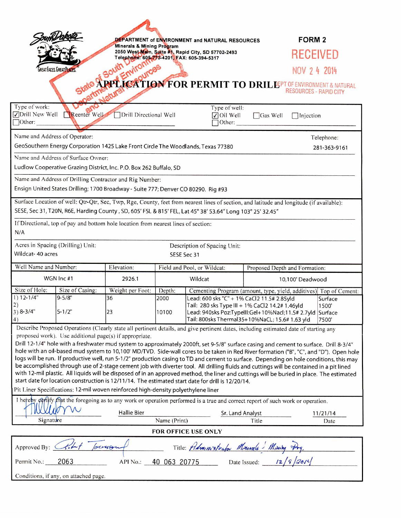|                                                                                                                                                                                                                                                                                                                                                                                                                                                                                                                                                                                                                                                                                                                                                                                                                                                                                                                                                                        |                 | DEPARTMENT of ENVIRONMENT and NATURAL RESOURCES |                                                              |                                                                                                                     |                 | <b>FORM 2</b>                                                     |
|------------------------------------------------------------------------------------------------------------------------------------------------------------------------------------------------------------------------------------------------------------------------------------------------------------------------------------------------------------------------------------------------------------------------------------------------------------------------------------------------------------------------------------------------------------------------------------------------------------------------------------------------------------------------------------------------------------------------------------------------------------------------------------------------------------------------------------------------------------------------------------------------------------------------------------------------------------------------|-----------------|-------------------------------------------------|--------------------------------------------------------------|---------------------------------------------------------------------------------------------------------------------|-----------------|-------------------------------------------------------------------|
| Minerals & Mining Program<br>2050 West Man, Suite #1, Rapid City, SD 57702-2493<br>Telephone: 605-773-4201, FAX: 605-394-5317                                                                                                                                                                                                                                                                                                                                                                                                                                                                                                                                                                                                                                                                                                                                                                                                                                          |                 |                                                 |                                                              |                                                                                                                     | RECEIVED        |                                                                   |
| <b>GREAT FACES. GREAT PLACES</b>                                                                                                                                                                                                                                                                                                                                                                                                                                                                                                                                                                                                                                                                                                                                                                                                                                                                                                                                       |                 |                                                 |                                                              |                                                                                                                     | NOV 2 4 2014    |                                                                   |
| <b>PLICATION FOR PERMIT TO DRIL PEPT OF ENVIRONMENT &amp; NATURAL</b><br><b>RESOURCES - RAPID CITY</b>                                                                                                                                                                                                                                                                                                                                                                                                                                                                                                                                                                                                                                                                                                                                                                                                                                                                 |                 |                                                 |                                                              |                                                                                                                     |                 |                                                                   |
| Type of work:<br>$\Box$ Other:                                                                                                                                                                                                                                                                                                                                                                                                                                                                                                                                                                                                                                                                                                                                                                                                                                                                                                                                         | Reenter Well    | Drill Directional Well                          |                                                              | Type of well:<br>$\sqrt{\frac{1}{1}}$ Oil Well<br>Other:                                                            | $\Box$ Gas Well | Injection                                                         |
| Name and Address of Operator:<br>Telephone:                                                                                                                                                                                                                                                                                                                                                                                                                                                                                                                                                                                                                                                                                                                                                                                                                                                                                                                            |                 |                                                 |                                                              |                                                                                                                     |                 |                                                                   |
| GeoSouthern Energy Corporation 1425 Lake Front Circle The Woodlands, Texas 77380<br>281-363-9161                                                                                                                                                                                                                                                                                                                                                                                                                                                                                                                                                                                                                                                                                                                                                                                                                                                                       |                 |                                                 |                                                              |                                                                                                                     |                 |                                                                   |
| Name and Address of Surface Owner:                                                                                                                                                                                                                                                                                                                                                                                                                                                                                                                                                                                                                                                                                                                                                                                                                                                                                                                                     |                 |                                                 |                                                              |                                                                                                                     |                 |                                                                   |
| Ludlow Cooperative Grazing District, Inc. P.O. Box 262 Buffalo, SD                                                                                                                                                                                                                                                                                                                                                                                                                                                                                                                                                                                                                                                                                                                                                                                                                                                                                                     |                 |                                                 |                                                              |                                                                                                                     |                 |                                                                   |
| Name and Address of Drilling Contractor and Rig Number:                                                                                                                                                                                                                                                                                                                                                                                                                                                                                                                                                                                                                                                                                                                                                                                                                                                                                                                |                 |                                                 |                                                              |                                                                                                                     |                 |                                                                   |
| Ensign United States Drilling; 1700 Broadway - Suite 777; Denver CO 80290. Rig #93                                                                                                                                                                                                                                                                                                                                                                                                                                                                                                                                                                                                                                                                                                                                                                                                                                                                                     |                 |                                                 |                                                              |                                                                                                                     |                 |                                                                   |
| Surface Location of well: Qtr-Qtr, Sec, Twp, Rge, County, feet from nearest lines of section, and latitude and longitude (if available):<br>SESE, Sec 31, T20N, R6E, Harding County, SD, 605' FSL & 815' FEL, Lat 45° 38' 53.64" Long 103° 25' 32.45"                                                                                                                                                                                                                                                                                                                                                                                                                                                                                                                                                                                                                                                                                                                  |                 |                                                 |                                                              |                                                                                                                     |                 |                                                                   |
| If Directional, top of pay and bottom hole location from nearest lines of section:<br>N/A                                                                                                                                                                                                                                                                                                                                                                                                                                                                                                                                                                                                                                                                                                                                                                                                                                                                              |                 |                                                 |                                                              |                                                                                                                     |                 |                                                                   |
| Acres in Spacing (Drilling) Unit:<br>Description of Spacing Unit:                                                                                                                                                                                                                                                                                                                                                                                                                                                                                                                                                                                                                                                                                                                                                                                                                                                                                                      |                 |                                                 |                                                              |                                                                                                                     |                 |                                                                   |
| Wildcat- 40 acres<br>SESE Sec 31                                                                                                                                                                                                                                                                                                                                                                                                                                                                                                                                                                                                                                                                                                                                                                                                                                                                                                                                       |                 |                                                 |                                                              |                                                                                                                     |                 |                                                                   |
| Well Name and Number:                                                                                                                                                                                                                                                                                                                                                                                                                                                                                                                                                                                                                                                                                                                                                                                                                                                                                                                                                  |                 | Elevation:                                      | Field and Pool, or Wildcat:<br>Proposed Depth and Formation: |                                                                                                                     |                 |                                                                   |
| WGN Inc #1                                                                                                                                                                                                                                                                                                                                                                                                                                                                                                                                                                                                                                                                                                                                                                                                                                                                                                                                                             |                 | 2926.1                                          |                                                              | Wildcat<br>10,100 Deadwood                                                                                          |                 |                                                                   |
| Size of Hole:                                                                                                                                                                                                                                                                                                                                                                                                                                                                                                                                                                                                                                                                                                                                                                                                                                                                                                                                                          | Size of Casing: | Weight per Foot:                                | Depth:                                                       |                                                                                                                     |                 | Cementing Program (amount, type, yield, additives) Top of Cement: |
| $1) 12 - 1/4"$                                                                                                                                                                                                                                                                                                                                                                                                                                                                                                                                                                                                                                                                                                                                                                                                                                                                                                                                                         | $9 - 5/8"$      | 36                                              | 2000                                                         | Lead: 600 sks "C" + 1% CaCl2 11.5# 2.85yld<br>Tail: 280 sks Type III + 1% CaCl2 14.2# 1.46yld                       |                 | Surface<br>1500                                                   |
| $3) 8 - 3/4"$<br>4)                                                                                                                                                                                                                                                                                                                                                                                                                                                                                                                                                                                                                                                                                                                                                                                                                                                                                                                                                    | $5 - 1/2"$      | 23                                              | 10100                                                        | Lead: 940sks Poz:TypellI:Gel+10%Nacl;11.5# 2.7yld Surface<br>Tail: 800sks Thermal35+10%NaCL; 15.6# 1.63 yld<br>7500 |                 |                                                                   |
| Describe Proposed Operations (Clearly state all pertinent details, and give pertinent dates, including estimated date of starting any                                                                                                                                                                                                                                                                                                                                                                                                                                                                                                                                                                                                                                                                                                                                                                                                                                  |                 |                                                 |                                                              |                                                                                                                     |                 |                                                                   |
| proposed work). Use additional page(s) if appropriate.<br>Drill 12-1/4" hole with a freshwater mud system to approximately 2000ft, set 9-5/8" surface casing and cement to surface. Drill 8-3/4"<br>hole with an oil-based mud system to 10,100' MD/TVD. Side-wall cores to be taken in Red River formation ("B", "C", and "D"). Open hole<br>logs will be run. If productive well, run 5-1/2" production casing to TD and cement to surface. Depending on hole conditions, this may<br>be accomplished through use of 2-stage cement job with diverter tool. All drilling fluids and cuttings will be contained in a pit lined<br>with 12-mil plastic. All liquids will be disposed of in an approved method, the liner and cuttings will be buried in place. The estimated<br>start date for location construction is 12/11/14. The estimated start date for drill is 12/20/14.<br>Pit Liner Specifications: 12-mil woven reinforced high-density polyethylene liner |                 |                                                 |                                                              |                                                                                                                     |                 |                                                                   |
| I hereby certify that the foregoing as to any work or operation performed is a true and correct report of such work or operation.                                                                                                                                                                                                                                                                                                                                                                                                                                                                                                                                                                                                                                                                                                                                                                                                                                      |                 |                                                 |                                                              |                                                                                                                     |                 |                                                                   |
| Signature                                                                                                                                                                                                                                                                                                                                                                                                                                                                                                                                                                                                                                                                                                                                                                                                                                                                                                                                                              |                 | <b>Hallie Bier</b>                              | Name (Print)                                                 | Sr. Land Analyst                                                                                                    | Title           | 11/21/14                                                          |
| Date<br>FOR OFFICE USE ONLY                                                                                                                                                                                                                                                                                                                                                                                                                                                                                                                                                                                                                                                                                                                                                                                                                                                                                                                                            |                 |                                                 |                                                              |                                                                                                                     |                 |                                                                   |
|                                                                                                                                                                                                                                                                                                                                                                                                                                                                                                                                                                                                                                                                                                                                                                                                                                                                                                                                                                        |                 |                                                 |                                                              |                                                                                                                     |                 |                                                                   |
| Title: Administrator Minerals Mining Arg.<br>Approved By: Chat                                                                                                                                                                                                                                                                                                                                                                                                                                                                                                                                                                                                                                                                                                                                                                                                                                                                                                         |                 |                                                 |                                                              |                                                                                                                     |                 |                                                                   |
| 40 063 20775 Date Issued: $12/9/36/4$<br>2063<br>API No.:<br>Permit No.:                                                                                                                                                                                                                                                                                                                                                                                                                                                                                                                                                                                                                                                                                                                                                                                                                                                                                               |                 |                                                 |                                                              |                                                                                                                     |                 |                                                                   |
| Conditions, if any, on attached page.                                                                                                                                                                                                                                                                                                                                                                                                                                                                                                                                                                                                                                                                                                                                                                                                                                                                                                                                  |                 |                                                 |                                                              |                                                                                                                     |                 |                                                                   |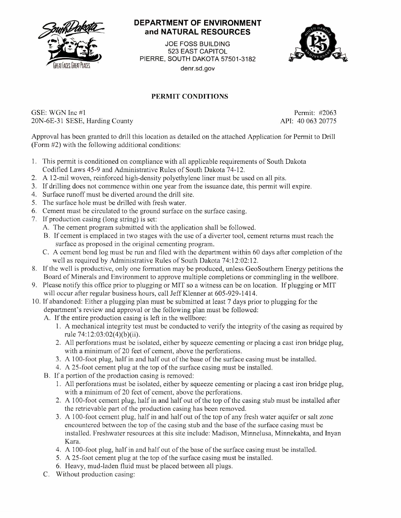

## **DEPARTMENT OF ENVIRONMENT and NATURAL RESOURCES**

JOE FOSS BUILDING 523 EAST CAPITOL PIERRE, SOUTH DAKOTA 57501-3182 denr.sd.gov



## **PERMIT CONDITIONS**

GSE: WGN Inc #1 Permit: #2063 20N-6E-31 SESE, Harding County API: 40 063 20775

Approval has been granted to drill this location as detailed on the attached Application for Permit to Drill (Form #2) with the following additional conditions:

- 1. This permit is conditioned on compliance with all applicable requirements of South Dakota Codified Laws 45-9 and Administrative Rules of South Dakota 74-12.
- 2. A 12-mil woven, reinforced high-density polyethylene liner must be used on all pits.
- 3. If drilling does not commence within one year from the issuance date, this permit will expire.
- 4. Surface runoff must be diverted around the drill site.
- 5. The surface hole must be drilled with fresh water.
- 6. Cement must be circulated to the ground surface on the surface casing.
- 7. If production casing (long string) is set:
	- A. The cement program submitted with the application shall be followed.
	- B. If cement is emplaced in two stages with the use of a diverter tool, cement returns must reach the surface as proposed in the original cementing program.
	- C. A cement bond log must be run and filed with the department within 60 days after completion of the well as required by Administrative Rules of South Dakota 74:12:02:12.
- 8. If the well is productive, only one formation may be produced, unless GeoSouthern Energy petitions the Board of Minerals and Environment to approve multiple completions or commingling in the wellbore.
- 9. Please notify this office prior to plugging or MIT so a witness can be on location. If plugging or MIT will occur after regular business hours, call Jeff Klenner at 605-929-1414.
- 10. If abandoned: Either a plugging plan must be submitted at least 7 days prior to plugging for the department's review and approval or the following plan must be followed:
	- A. If the entire production casing is left in the wellbore:
		- 1. A mechanical integrity test must be conducted to verify the integrity of the casing as required by rule 74:12:03:02(4)(b)(ii).
		- 2. All perforations must be isolated, either by squeeze cementing or placing a cast iron bridge plug, with a minimum of 20 feet of cement, above the perforations.
		- 3. A 100-foot plug, half in and half out of the base of the surface casing must be installed.
		- 4. A 25-foot cement plug at the top of the surface casing must be installed.
	- B. If a portion of the production casing is removed:
		- 1. All perforations must be isolated, either by squeeze cementing or placing a cast iron bridge plug, with a minimum of 20 feet of cement, above the perforations.
		- 2. A 100-foot cement plug, half in and half out of the top of the casing stub must be installed after the retrievable part of the production casing has been removed.
		- 3. A 100-foot cement plug, half in and half out of the top of any fresh water aquifer or salt zone encountered between the top of the casing stub and the base of the surface casing must be installed. Freshwater resources at this site include: Madison, Minnelusa, Minnekahta, and Inyan Kara.
		- 4. A 100-foot plug, half in and half out of the base of the surface casing must be installed.
		- 5. A 25-foot cement plug at the top of the surface casing must be installed.
		- 6. Heavy, mud-laden fluid must be placed between all plugs.
	- C. Without production casing: